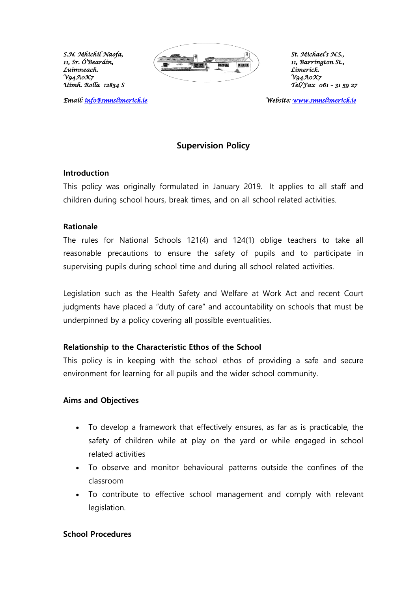*Luimneach. Limerick.* 

*Email: info@smnslimerick.ie* 



*11, Barríngton St.,*<br>*Límerick. Uimh. Rolla 12834 S Tel/Fax 061 – 31 59 27* 

*Email: [info@smnslimerick.ie](mailto:info@smnslimerick.ie) Website: [www.smnslimerick.ie](http://www.smnslimerick.ie/)* 

# **Supervision Policy**

#### **Introduction**

This policy was originally formulated in January 2019. It applies to all staff and children during school hours, break times, and on all school related activities.

#### **Rationale**

The rules for National Schools 121(4) and 124(1) oblige teachers to take all reasonable precautions to ensure the safety of pupils and to participate in supervising pupils during school time and during all school related activities.

Legislation such as the Health Safety and Welfare at Work Act and recent Court judgments have placed a "duty of care" and accountability on schools that must be underpinned by a policy covering all possible eventualities.

#### **Relationship to the Characteristic Ethos of the School**

This policy is in keeping with the school ethos of providing a safe and secure environment for learning for all pupils and the wider school community.

#### **Aims and Objectives**

- To develop a framework that effectively ensures, as far as is practicable, the safety of children while at play on the yard or while engaged in school related activities
- To observe and monitor behavioural patterns outside the confines of the classroom
- To contribute to effective school management and comply with relevant legislation.

#### **School Procedures**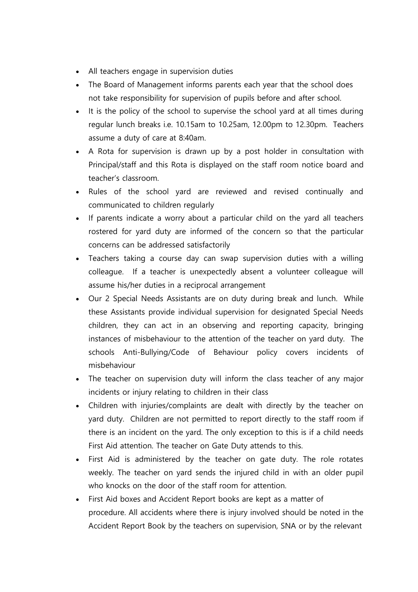- All teachers engage in supervision duties
- The Board of Management informs parents each year that the school does not take responsibility for supervision of pupils before and after school.
- It is the policy of the school to supervise the school yard at all times during regular lunch breaks i.e. 10.15am to 10.25am, 12.00pm to 12.30pm. Teachers assume a duty of care at 8:40am.
- A Rota for supervision is drawn up by a post holder in consultation with Principal/staff and this Rota is displayed on the staff room notice board and teacher's classroom.
- Rules of the school yard are reviewed and revised continually and communicated to children regularly
- If parents indicate a worry about a particular child on the yard all teachers rostered for yard duty are informed of the concern so that the particular concerns can be addressed satisfactorily
- Teachers taking a course day can swap supervision duties with a willing colleague. If a teacher is unexpectedly absent a volunteer colleague will assume his/her duties in a reciprocal arrangement
- Our 2 Special Needs Assistants are on duty during break and lunch. While these Assistants provide individual supervision for designated Special Needs children, they can act in an observing and reporting capacity, bringing instances of misbehaviour to the attention of the teacher on yard duty. The schools Anti-Bullying/Code of Behaviour policy covers incidents of misbehaviour
- The teacher on supervision duty will inform the class teacher of any major incidents or injury relating to children in their class
- Children with injuries/complaints are dealt with directly by the teacher on yard duty. Children are not permitted to report directly to the staff room if there is an incident on the yard. The only exception to this is if a child needs First Aid attention. The teacher on Gate Duty attends to this.
- First Aid is administered by the teacher on gate duty. The role rotates weekly. The teacher on yard sends the injured child in with an older pupil who knocks on the door of the staff room for attention.
- First Aid boxes and Accident Report books are kept as a matter of procedure. All accidents where there is injury involved should be noted in the Accident Report Book by the teachers on supervision, SNA or by the relevant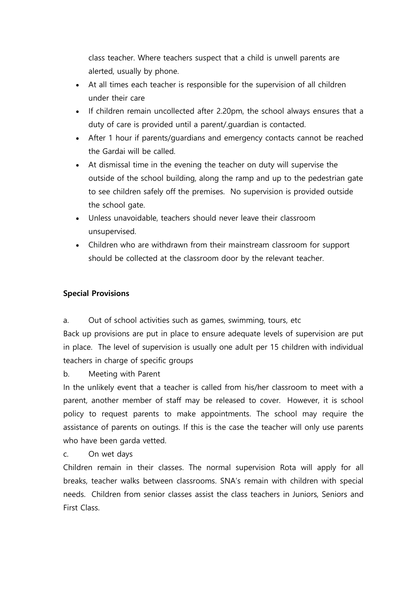class teacher. Where teachers suspect that a child is unwell parents are alerted, usually by phone.

- At all times each teacher is responsible for the supervision of all children under their care
- If children remain uncollected after 2.20pm, the school always ensures that a duty of care is provided until a parent/.guardian is contacted.
- After 1 hour if parents/guardians and emergency contacts cannot be reached the Gardai will be called.
- At dismissal time in the evening the teacher on duty will supervise the outside of the school building, along the ramp and up to the pedestrian gate to see children safely off the premises. No supervision is provided outside the school gate.
- Unless unavoidable, teachers should never leave their classroom unsupervised.
- Children who are withdrawn from their mainstream classroom for support should be collected at the classroom door by the relevant teacher.

# **Special Provisions**

a. Out of school activities such as games, swimming, tours, etc

Back up provisions are put in place to ensure adequate levels of supervision are put in place. The level of supervision is usually one adult per 15 children with individual teachers in charge of specific groups

b. Meeting with Parent

In the unlikely event that a teacher is called from his/her classroom to meet with a parent, another member of staff may be released to cover. However, it is school policy to request parents to make appointments. The school may require the assistance of parents on outings. If this is the case the teacher will only use parents who have been garda vetted.

c. On wet days

Children remain in their classes. The normal supervision Rota will apply for all breaks, teacher walks between classrooms. SNA's remain with children with special needs. Children from senior classes assist the class teachers in Juniors, Seniors and First Class.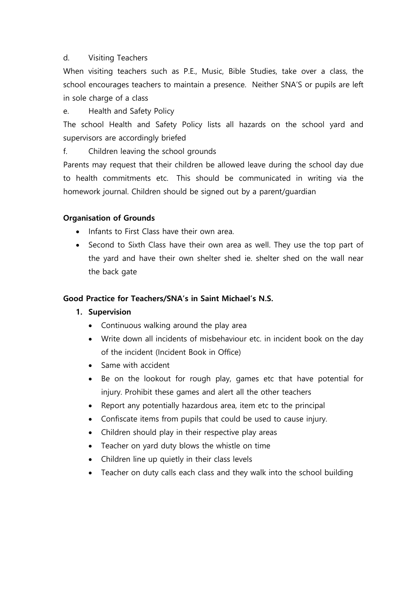# d. Visiting Teachers

When visiting teachers such as P.E., Music, Bible Studies, take over a class, the school encourages teachers to maintain a presence. Neither SNA'S or pupils are left in sole charge of a class

e. Health and Safety Policy

The school Health and Safety Policy lists all hazards on the school yard and supervisors are accordingly briefed

f. Children leaving the school grounds

Parents may request that their children be allowed leave during the school day due to health commitments etc. This should be communicated in writing via the homework journal. Children should be signed out by a parent/guardian

# **Organisation of Grounds**

- Infants to First Class have their own area.
- Second to Sixth Class have their own area as well. They use the top part of the yard and have their own shelter shed ie. shelter shed on the wall near the back gate

### **Good Practice for Teachers/SNA's in Saint Michael's N.S.**

### **1. Supervision**

- Continuous walking around the play area
- Write down all incidents of misbehaviour etc. in incident book on the day of the incident (Incident Book in Office)
- Same with accident
- Be on the lookout for rough play, games etc that have potential for injury. Prohibit these games and alert all the other teachers
- Report any potentially hazardous area, item etc to the principal
- Confiscate items from pupils that could be used to cause injury.
- Children should play in their respective play areas
- Teacher on yard duty blows the whistle on time
- Children line up quietly in their class levels
- Teacher on duty calls each class and they walk into the school building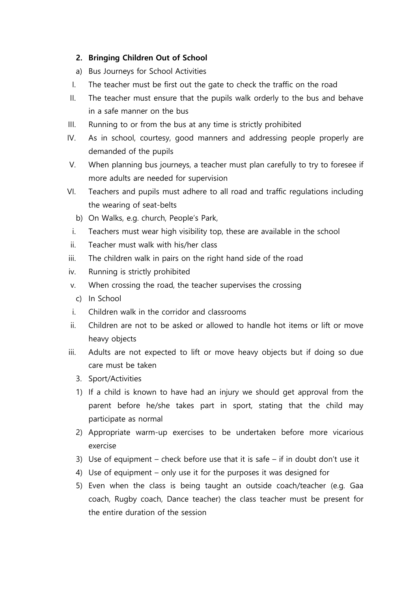# **2. Bringing Children Out of School**

- a) Bus Journeys for School Activities
- I. The teacher must be first out the gate to check the traffic on the road
- II. The teacher must ensure that the pupils walk orderly to the bus and behave in a safe manner on the bus
- III. Running to or from the bus at any time is strictly prohibited
- IV. As in school, courtesy, good manners and addressing people properly are demanded of the pupils
- V. When planning bus journeys, a teacher must plan carefully to try to foresee if more adults are needed for supervision
- VI. Teachers and pupils must adhere to all road and traffic regulations including the wearing of seat-belts
	- b) On Walks, e.g. church, People's Park,
- i. Teachers must wear high visibility top, these are available in the school
- ii. Teacher must walk with his/her class
- iii. The children walk in pairs on the right hand side of the road
- iv. Running is strictly prohibited
- v. When crossing the road, the teacher supervises the crossing
	- c) In School
- i. Children walk in the corridor and classrooms
- ii. Children are not to be asked or allowed to handle hot items or lift or move heavy objects
- iii. Adults are not expected to lift or move heavy objects but if doing so due care must be taken
	- 3. Sport/Activities
	- 1) If a child is known to have had an injury we should get approval from the parent before he/she takes part in sport, stating that the child may participate as normal
	- 2) Appropriate warm-up exercises to be undertaken before more vicarious exercise
	- 3) Use of equipment check before use that it is safe if in doubt don't use it
	- 4) Use of equipment only use it for the purposes it was designed for
	- 5) Even when the class is being taught an outside coach/teacher (e.g. Gaa coach, Rugby coach, Dance teacher) the class teacher must be present for the entire duration of the session